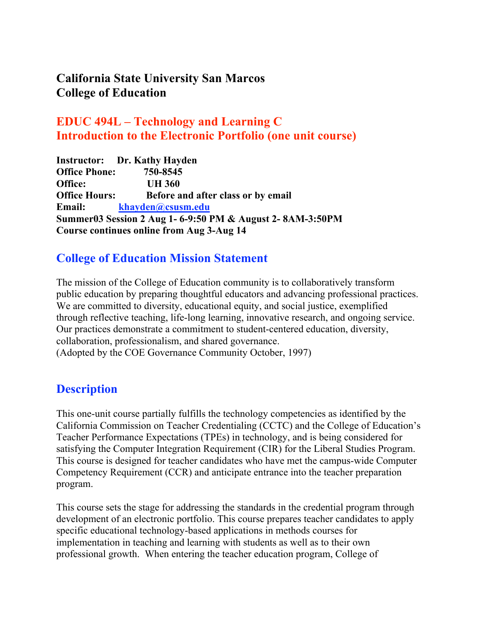### **California State University San Marcos College of Education**

### **EDUC 494L – Technology and Learning C Introduction to the Electronic Portfolio (one unit course)**

**Instructor: Dr. Kathy Hayden Office Phone: 750-8545 Office: UH 360 Office Hours: Before and after class or by email Email: khayden@csusm.edu Summer03 Session 2 Aug 1- 6-9:50 PM & August 2- 8AM-3:50PM Course continues online from Aug 3-Aug 14**

#### **College of Education Mission Statement**

The mission of the College of Education community is to collaboratively transform public education by preparing thoughtful educators and advancing professional practices. We are committed to diversity, educational equity, and social justice, exemplified through reflective teaching, life-long learning, innovative research, and ongoing service. Our practices demonstrate a commitment to student-centered education, diversity, collaboration, professionalism, and shared governance. (Adopted by the COE Governance Community October, 1997)

#### **Description**

This one-unit course partially fulfills the technology competencies as identified by the California Commission on Teacher Credentialing (CCTC) and the College of Education's Teacher Performance Expectations (TPEs) in technology, and is being considered for satisfying the Computer Integration Requirement (CIR) for the Liberal Studies Program. This course is designed for teacher candidates who have met the campus-wide Computer Competency Requirement (CCR) and anticipate entrance into the teacher preparation program.

This course sets the stage for addressing the standards in the credential program through development of an electronic portfolio. This course prepares teacher candidates to apply specific educational technology-based applications in methods courses for implementation in teaching and learning with students as well as to their own professional growth. When entering the teacher education program, College of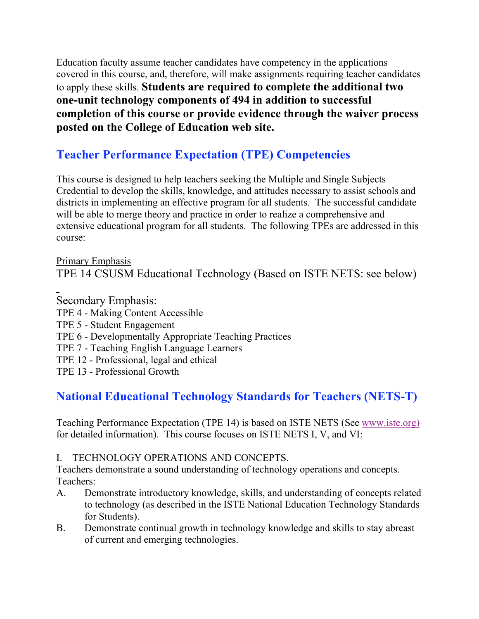Education faculty assume teacher candidates have competency in the applications covered in this course, and, therefore, will make assignments requiring teacher candidates to apply these skills. **Students are required to complete the additional two one-unit technology components of 494 in addition to successful completion of this course or provide evidence through the waiver process posted on the College of Education web site.**

# **Teacher Performance Expectation (TPE) Competencies**

This course is designed to help teachers seeking the Multiple and Single Subjects Credential to develop the skills, knowledge, and attitudes necessary to assist schools and districts in implementing an effective program for all students. The successful candidate will be able to merge theory and practice in order to realize a comprehensive and extensive educational program for all students. The following TPEs are addressed in this course:

Primary Emphasis

TPE 14 CSUSM Educational Technology (Based on ISTE NETS: see below)

Secondary Emphasis:

- TPE 4 Making Content Accessible
- TPE 5 Student Engagement
- TPE 6 Developmentally Appropriate Teaching Practices
- TPE 7 Teaching English Language Learners
- TPE 12 Professional, legal and ethical
- TPE 13 Professional Growth

# **National Educational Technology Standards for Teachers (NETS-T)**

Teaching Performance Expectation (TPE 14) is based on ISTE NETS (See www.iste.org) for detailed information). This course focuses on ISTE NETS I, V, and VI:

I. TECHNOLOGY OPERATIONS AND CONCEPTS.

Teachers demonstrate a sound understanding of technology operations and concepts. Teachers:

- A. Demonstrate introductory knowledge, skills, and understanding of concepts related to technology (as described in the ISTE National Education Technology Standards for Students).
- B. Demonstrate continual growth in technology knowledge and skills to stay abreast of current and emerging technologies.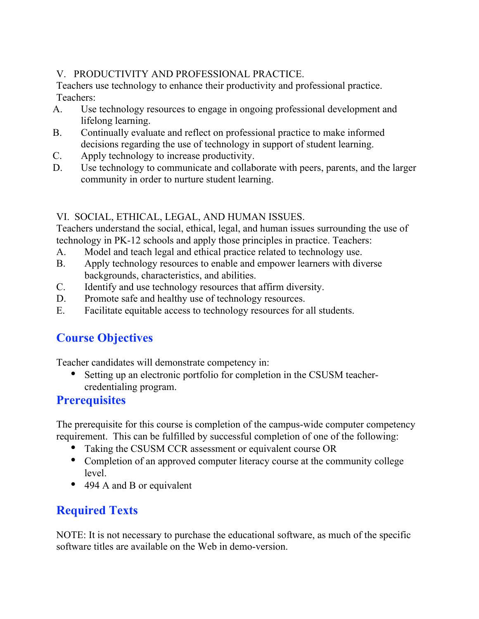#### V. PRODUCTIVITY AND PROFESSIONAL PRACTICE.

Teachers use technology to enhance their productivity and professional practice. Teachers:

- A. Use technology resources to engage in ongoing professional development and lifelong learning.
- B. Continually evaluate and reflect on professional practice to make informed decisions regarding the use of technology in support of student learning.
- C. Apply technology to increase productivity.
- D. Use technology to communicate and collaborate with peers, parents, and the larger community in order to nurture student learning.

#### VI. SOCIAL, ETHICAL, LEGAL, AND HUMAN ISSUES.

Teachers understand the social, ethical, legal, and human issues surrounding the use of technology in PK-12 schools and apply those principles in practice. Teachers:

- A. Model and teach legal and ethical practice related to technology use.
- B. Apply technology resources to enable and empower learners with diverse backgrounds, characteristics, and abilities.
- C. Identify and use technology resources that affirm diversity.
- D. Promote safe and healthy use of technology resources.
- E. Facilitate equitable access to technology resources for all students.

### **Course Objectives**

Teacher candidates will demonstrate competency in:

Setting up an electronic portfolio for completion in the CSUSM teachercredentialing program.

#### **Prerequisites**

The prerequisite for this course is completion of the campus-wide computer competency requirement. This can be fulfilled by successful completion of one of the following:

Taking the CSUSM CCR assessment or equivalent course OR

Completion of an approved computer literacy course at the community college level.

494 A and B or equivalent

# **Required Texts**

NOTE: It is not necessary to purchase the educational software, as much of the specific software titles are available on the Web in demo-version.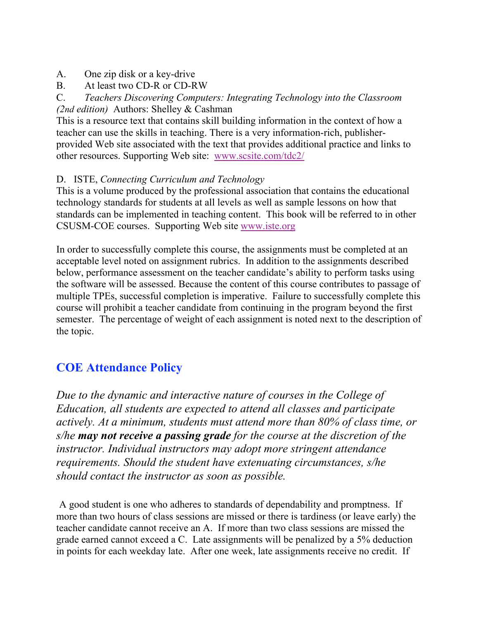- A. One zip disk or a key-drive
- B. At least two CD-R or CD-RW

C. *Teachers Discovering Computers: Integrating Technology into the Classroom (2nd edition)* Authors: Shelley & Cashman

This is a resource text that contains skill building information in the context of how a teacher can use the skills in teaching. There is a very information-rich, publisherprovided Web site associated with the text that provides additional practice and links to other resources. Supporting Web site: www.scsite.com/tdc2/

#### D. ISTE, *Connecting Curriculum and Technology*

This is a volume produced by the professional association that contains the educational technology standards for students at all levels as well as sample lessons on how that standards can be implemented in teaching content. This book will be referred to in other CSUSM-COE courses. Supporting Web site www.iste.org

In order to successfully complete this course, the assignments must be completed at an acceptable level noted on assignment rubrics. In addition to the assignments described below, performance assessment on the teacher candidate's ability to perform tasks using the software will be assessed. Because the content of this course contributes to passage of multiple TPEs, successful completion is imperative. Failure to successfully complete this course will prohibit a teacher candidate from continuing in the program beyond the first semester. The percentage of weight of each assignment is noted next to the description of the topic.

# **COE Attendance Policy**

*Due to the dynamic and interactive nature of courses in the College of Education, all students are expected to attend all classes and participate actively. At a minimum, students must attend more than 80% of class time, or s/he may not receive a passing grade for the course at the discretion of the instructor. Individual instructors may adopt more stringent attendance requirements. Should the student have extenuating circumstances, s/he should contact the instructor as soon as possible.*

A good student is one who adheres to standards of dependability and promptness. If more than two hours of class sessions are missed or there is tardiness (or leave early) the teacher candidate cannot receive an A. If more than two class sessions are missed the grade earned cannot exceed a C. Late assignments will be penalized by a 5% deduction in points for each weekday late. After one week, late assignments receive no credit. If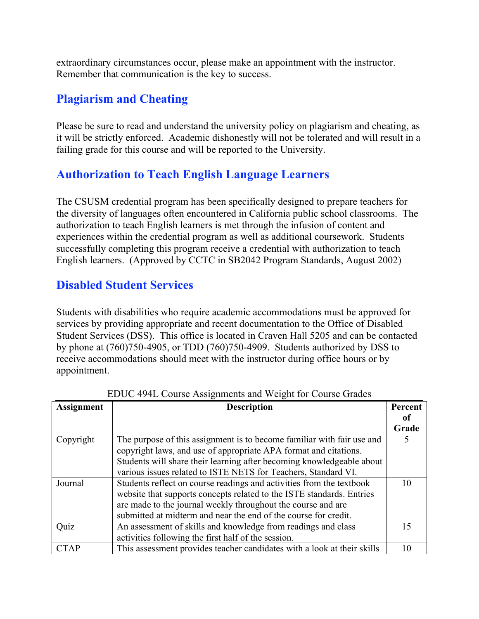extraordinary circumstances occur, please make an appointment with the instructor. Remember that communication is the key to success.

# **Plagiarism and Cheating**

Please be sure to read and understand the university policy on plagiarism and cheating, as it will be strictly enforced. Academic dishonestly will not be tolerated and will result in a failing grade for this course and will be reported to the University.

# **Authorization to Teach English Language Learners**

The CSUSM credential program has been specifically designed to prepare teachers for the diversity of languages often encountered in California public school classrooms. The authorization to teach English learners is met through the infusion of content and experiences within the credential program as well as additional coursework. Students successfully completing this program receive a credential with authorization to teach English learners. (Approved by CCTC in SB2042 Program Standards, August 2002)

# **Disabled Student Services**

Students with disabilities who require academic accommodations must be approved for services by providing appropriate and recent documentation to the Office of Disabled Student Services (DSS). This office is located in Craven Hall 5205 and can be contacted by phone at (760)750-4905, or TDD (760)750-4909. Students authorized by DSS to receive accommodations should meet with the instructor during office hours or by appointment.

| <b>Assignment</b> | <b>Description</b>                                                      | Percent |
|-------------------|-------------------------------------------------------------------------|---------|
|                   |                                                                         | 0f      |
|                   |                                                                         | Grade   |
| Copyright         | The purpose of this assignment is to become familiar with fair use and  | 5       |
|                   | copyright laws, and use of appropriate APA format and citations.        |         |
|                   | Students will share their learning after becoming knowledgeable about   |         |
|                   | various issues related to ISTE NETS for Teachers, Standard VI.          |         |
| Journal           | Students reflect on course readings and activities from the textbook    | 10      |
|                   | website that supports concepts related to the ISTE standards. Entries   |         |
|                   | are made to the journal weekly throughout the course and are            |         |
|                   | submitted at midterm and near the end of the course for credit.         |         |
| Quiz              | An assessment of skills and knowledge from readings and class           | 15      |
|                   | activities following the first half of the session.                     |         |
| <b>CTAP</b>       | This assessment provides teacher candidates with a look at their skills | 10      |

EDUC 494L Course Assignments and Weight for Course Grades